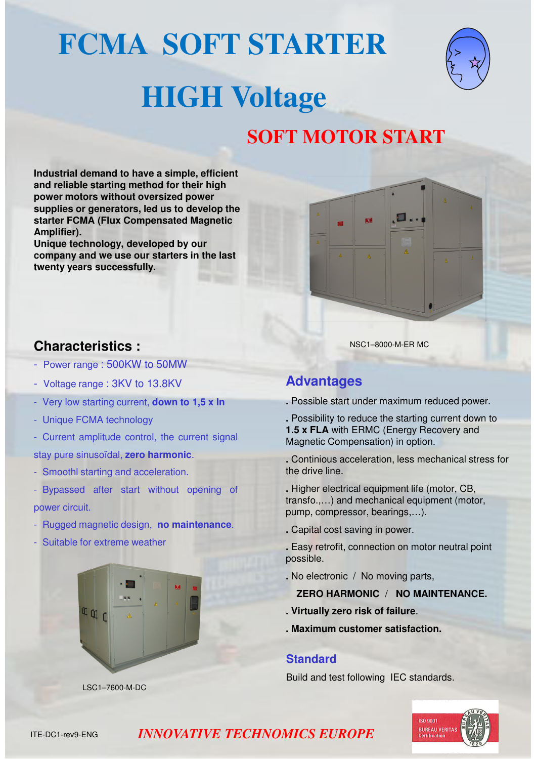# **FCMA SOFT STARTER**



# **HIGH Voltage**

## **SOFT MOTOR START**

**Industrial demand to have a simple, efficient and reliable starting method for their high power motors without oversized power supplies or generators, led us to develop the starter FCMA (Flux Compensated Magnetic Amplifier) .**

**Unique technology, developed by our company and we use our starters in the last twenty years successfully.**



## **Characteristics :**

- Power range : 500KW to 50MW
- Voltage range : 3KV to 13.8KV
- Very low starting current, **down to 1,5 x In**
- Unique FCMA technology
- Current amplitude control, the current signal
- stay pure sinusoïdal, **zero harmonic**.
- Smoothl starting and acceleration.
- Bypassed after start without opening of power circuit.
- Rugged magnetic design, **no maintenance**.
- Suitable for extreme weather



NSC1–8000-M-ER MC

## **Advantages**

- **.** Possible start under maximum reduced power.
- **.** Possibility to reduce the starting current down to **1.5 x FLA** with ERMC (Energy Recovery and Magnetic Compensation) in option.
- **.** Continious acceleration, less mechanical stress for the drive line.
- **.** Higher electrical equipment life (motor, CB, transfo.,…) and mechanical equipment (motor, pump, compressor, bearings,…).
- **.** Capital cost saving in power.
- **.** Easy retrofit, connection on motor neutral point possible.
- **.** No electronic / No moving parts,
	- **ZERO HARMONIC** / **NO MAINTENANCE.**
- **. Virtually zero risk of failure**.
- **. Maximum customer satisfaction.**

#### **Standard**

Build and test following IEC standards.



LSC1–7600-M-DC

### *INNOVATIVE TECHNOMICS EUROPE*